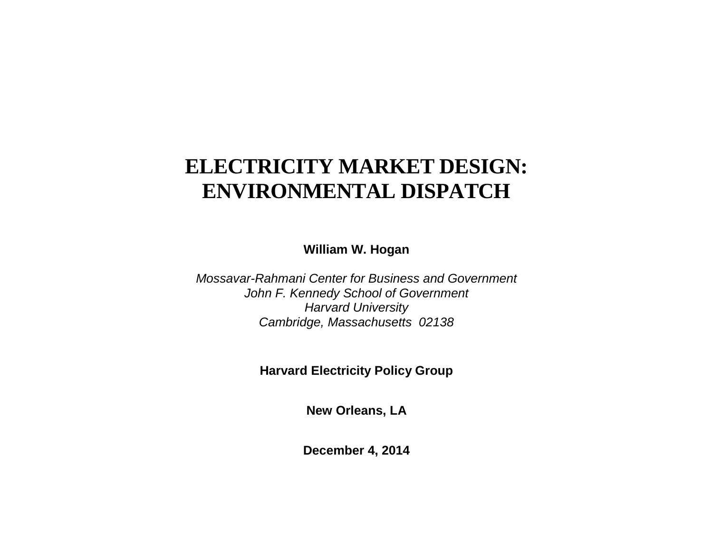# **ELECTRICITY MARKET DESIGN: ENVIRONMENTAL DISPATCH**

**William W. Hogan**

*Mossavar-Rahmani Center for Business and Government John F. Kennedy School of Government Harvard University Cambridge, Massachusetts 02138*

**Harvard Electricity Policy Group**

**New Orleans, LA**

**December 4, 2014**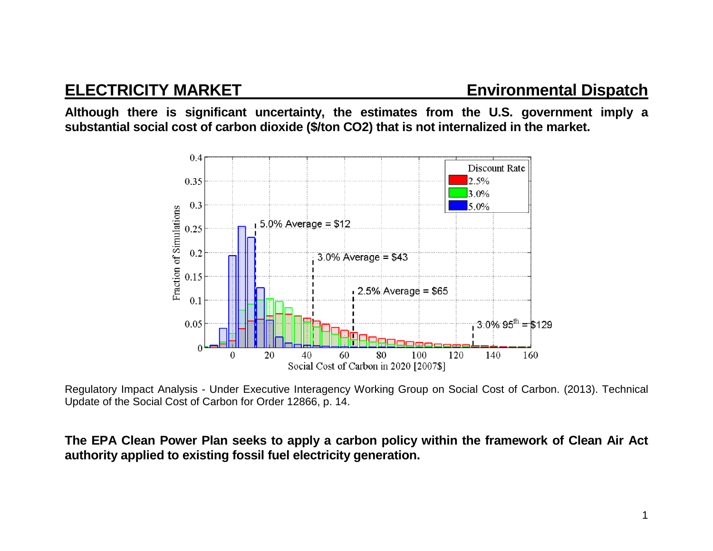**Although there is significant uncertainty, the estimates from the U.S. government imply a substantial social cost of carbon dioxide (\$/ton CO2) that is not internalized in the market.**



Regulatory Impact Analysis - Under Executive Interagency Working Group on Social Cost of Carbon. (2013). Technical Update of the Social Cost of Carbon for Order 12866, p. 14.

**The EPA Clean Power Plan seeks to apply a carbon policy within the framework of Clean Air Act authority applied to existing fossil fuel electricity generation.**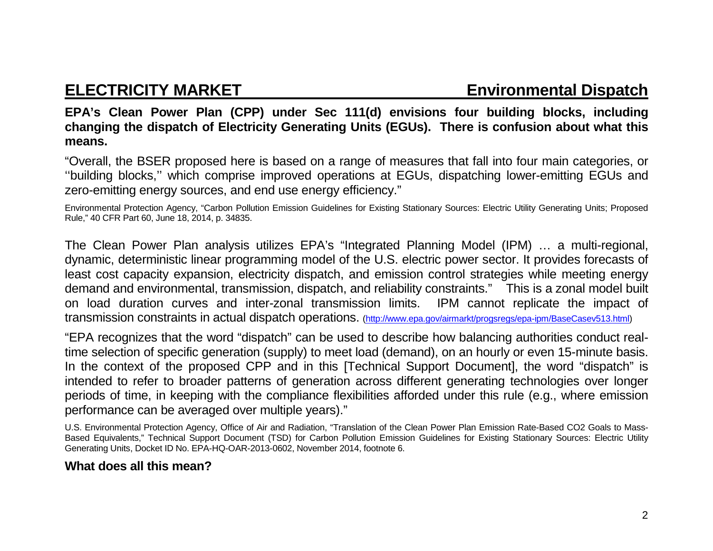## **ELECTRICITY MARKET Environmental Dispatch**

**EPA's Clean Power Plan (CPP) under Sec 111(d) envisions four building blocks, including changing the dispatch of Electricity Generating Units (EGUs). There is confusion about what this means.**

"Overall, the BSER proposed here is based on a range of measures that fall into four main categories, or ''building blocks,'' which comprise improved operations at EGUs, dispatching lower-emitting EGUs and zero-emitting energy sources, and end use energy efficiency."

Environmental Protection Agency, "Carbon Pollution Emission Guidelines for Existing Stationary Sources: Electric Utility Generating Units; Proposed Rule," 40 CFR Part 60, June 18, 2014, p. 34835.

The Clean Power Plan analysis utilizes EPA's "Integrated Planning Model (IPM) … a multi-regional, dynamic, deterministic linear programming model of the U.S. electric power sector. It provides forecasts of least cost capacity expansion, electricity dispatch, and emission control strategies while meeting energy demand and environmental, transmission, dispatch, and reliability constraints." This is a zonal model built on load duration curves and inter-zonal transmission limits. IPM cannot replicate the impact of transmission constraints in actual dispatch operations. [\(http://www.epa.gov/airmarkt/progsregs/epa-ipm/BaseCasev513.html\)](http://www.epa.gov/airmarkt/progsregs/epa-ipm/BaseCasev513.html)

"EPA recognizes that the word "dispatch" can be used to describe how balancing authorities conduct realtime selection of specific generation (supply) to meet load (demand), on an hourly or even 15-minute basis. In the context of the proposed CPP and in this [Technical Support Document], the word "dispatch" is intended to refer to broader patterns of generation across different generating technologies over longer periods of time, in keeping with the compliance flexibilities afforded under this rule (e.g., where emission performance can be averaged over multiple years)."

U.S. Environmental Protection Agency, Office of Air and Radiation, "Translation of the Clean Power Plan Emission Rate-Based CO2 Goals to Mass-Based Equivalents," Technical Support Document (TSD) for Carbon Pollution Emission Guidelines for Existing Stationary Sources: Electric Utility Generating Units, Docket ID No. EPA-HQ-OAR-2013-0602, November 2014, footnote 6.

## **What does all this mean?**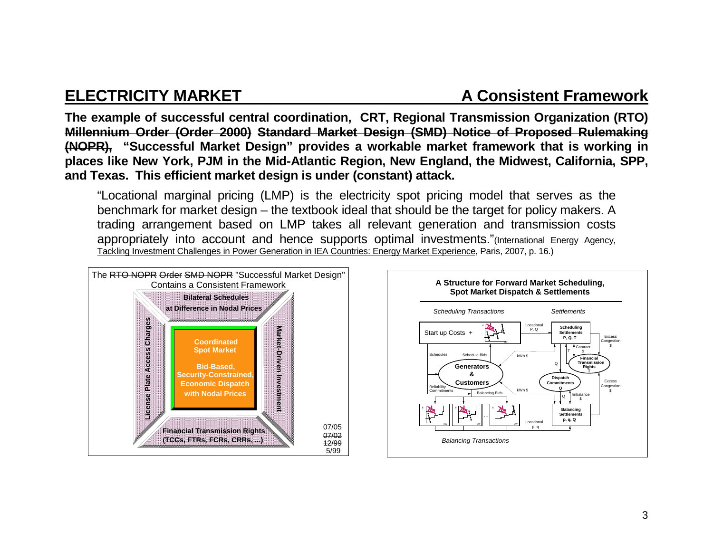## **ELECTRICITY MARKET A Consistent Framework**

**The example of successful central coordination, CRT, Regional Transmission Organization (RTO) Millennium Order (Order 2000) Standard Market Design (SMD) Notice of Proposed Rulemaking (NOPR), "Successful Market Design" provides a workable market framework that is working in places like New York, PJM in the Mid-Atlantic Region, New England, the Midwest, California, SPP, and Texas. This efficient market design is under (constant) attack.** 

"Locational marginal pricing (LMP) is the electricity spot pricing model that serves as the benchmark for market design – the textbook ideal that should be the target for policy makers. A trading arrangement based on LMP takes all relevant generation and transmission costs appropriately into account and hence supports optimal investments."(International Energy Agency, Tackling Investment Challenges in Power Generation in IEA Countries: Energy Market Experience, Paris, 2007, p. 16.)



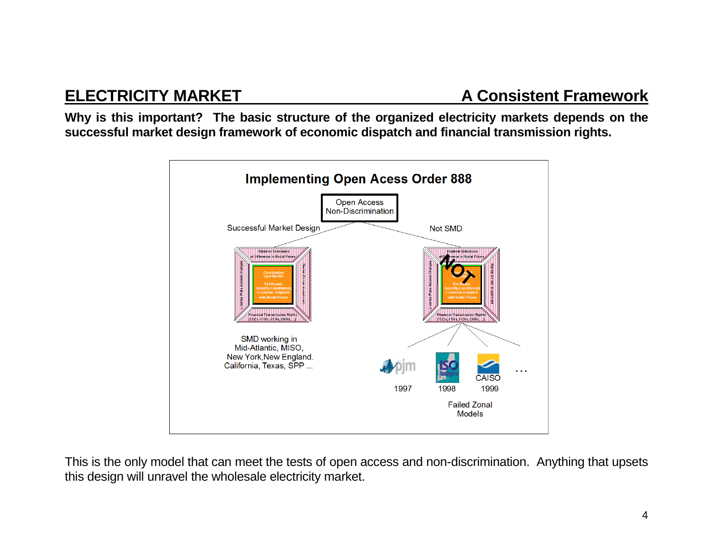**Why is this important? The basic structure of the organized electricity markets depends on the successful market design framework of economic dispatch and financial transmission rights.** 



This is the only model that can meet the tests of open access and non-discrimination. Anything that upsets this design will unravel the wholesale electricity market.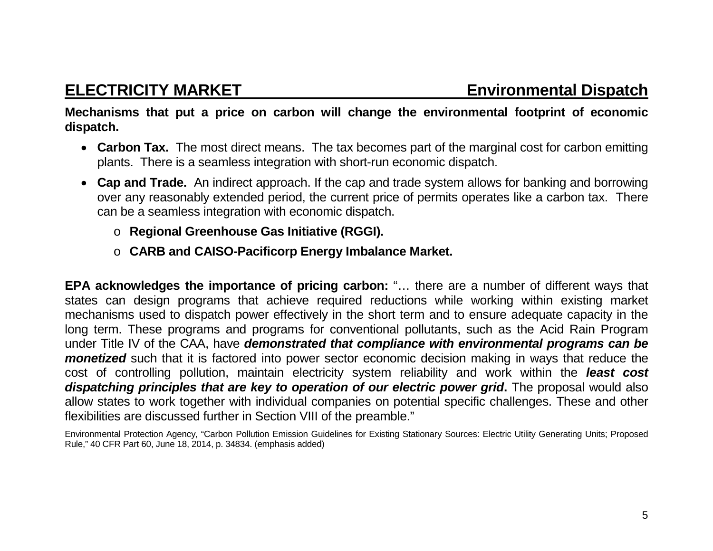**ELECTRICITY MARKET Environmental Dispatch**

**Mechanisms that put a price on carbon will change the environmental footprint of economic dispatch.**

- **Carbon Tax.** The most direct means. The tax becomes part of the marginal cost for carbon emitting plants. There is a seamless integration with short-run economic dispatch.
- **Cap and Trade.** An indirect approach. If the cap and trade system allows for banking and borrowing over any reasonably extended period, the current price of permits operates like a carbon tax. There can be a seamless integration with economic dispatch.
	- o **Regional Greenhouse Gas Initiative (RGGI).**
	- o **CARB and CAISO-Pacificorp Energy Imbalance Market.**

**EPA acknowledges the importance of pricing carbon:** "… there are a number of different ways that states can design programs that achieve required reductions while working within existing market mechanisms used to dispatch power effectively in the short term and to ensure adequate capacity in the long term. These programs and programs for conventional pollutants, such as the Acid Rain Program under Title IV of the CAA, have *demonstrated that compliance with environmental programs can be monetized* such that it is factored into power sector economic decision making in ways that reduce the cost of controlling pollution, maintain electricity system reliability and work within the *least cost dispatching principles that are key to operation of our electric power grid***.** The proposal would also allow states to work together with individual companies on potential specific challenges. These and other flexibilities are discussed further in Section VIII of the preamble."

Environmental Protection Agency, "Carbon Pollution Emission Guidelines for Existing Stationary Sources: Electric Utility Generating Units; Proposed Rule," 40 CFR Part 60, June 18, 2014, p. 34834. (emphasis added)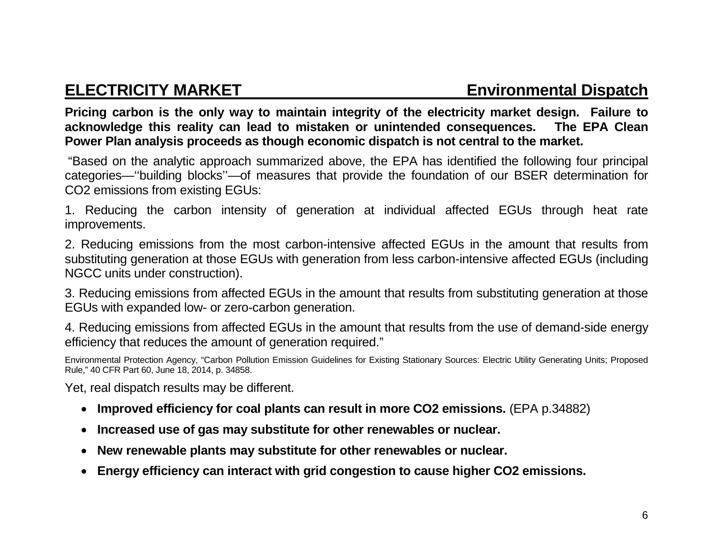**Pricing carbon is the only way to maintain integrity of the electricity market design. Failure to acknowledge this reality can lead to mistaken or unintended consequences. The EPA Clean Power Plan analysis proceeds as though economic dispatch is not central to the market.**

"Based on the analytic approach summarized above, the EPA has identified the following four principal categories—''building blocks''—of measures that provide the foundation of our BSER determination for CO2 emissions from existing EGUs:

1. Reducing the carbon intensity of generation at individual affected EGUs through heat rate improvements.

2. Reducing emissions from the most carbon-intensive affected EGUs in the amount that results from substituting generation at those EGUs with generation from less carbon-intensive affected EGUs (including NGCC units under construction).

3. Reducing emissions from affected EGUs in the amount that results from substituting generation at those EGUs with expanded low- or zero-carbon generation.

4. Reducing emissions from affected EGUs in the amount that results from the use of demand-side energy efficiency that reduces the amount of generation required."

Environmental Protection Agency, "Carbon Pollution Emission Guidelines for Existing Stationary Sources: Electric Utility Generating Units; Proposed Rule," 40 CFR Part 60, June 18, 2014, p. 34858.

Yet, real dispatch results may be different.

- **Improved efficiency for coal plants can result in more CO2 emissions.** (EPA p.34882)
- **Increased use of gas may substitute for other renewables or nuclear.**
- **New renewable plants may substitute for other renewables or nuclear.**
- **Energy efficiency can interact with grid congestion to cause higher CO2 emissions.**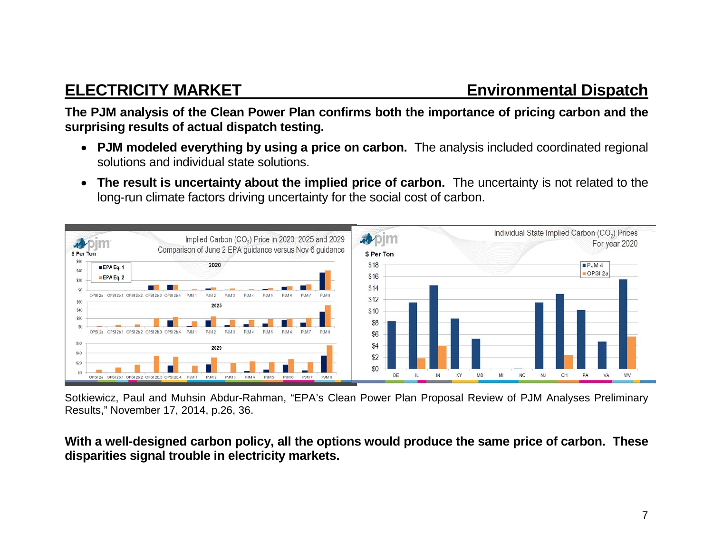**The PJM analysis of the Clean Power Plan confirms both the importance of pricing carbon and the surprising results of actual dispatch testing.**

- **PJM modeled everything by using a price on carbon.** The analysis included coordinated regional solutions and individual state solutions.
- **The result is uncertainty about the implied price of carbon.** The uncertainty is not related to the long-run climate factors driving uncertainty for the social cost of carbon.



Sotkiewicz, Paul and Muhsin Abdur-Rahman, "EPA's Clean Power Plan Proposal Review of PJM Analyses Preliminary Results," November 17, 2014, p.26, 36.

**With a well-designed carbon policy, all the options would produce the same price of carbon. These disparities signal trouble in electricity markets.**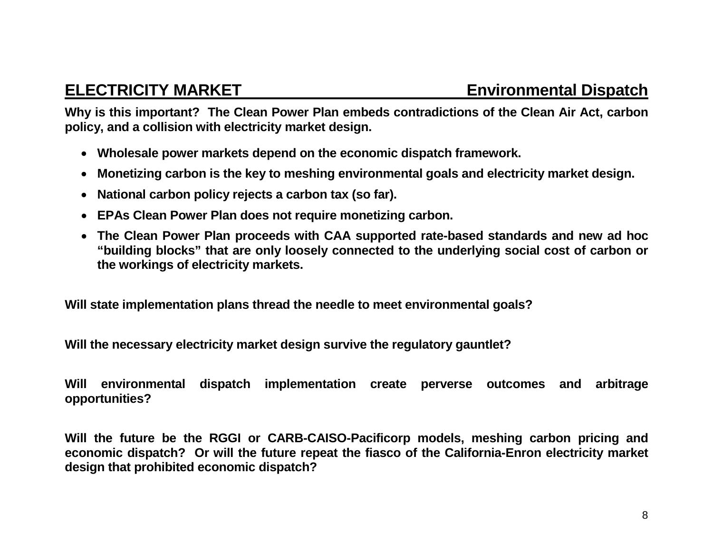**Why is this important? The Clean Power Plan embeds contradictions of the Clean Air Act, carbon policy, and a collision with electricity market design.** 

- **Wholesale power markets depend on the economic dispatch framework.**
- **Monetizing carbon is the key to meshing environmental goals and electricity market design.**
- **National carbon policy rejects a carbon tax (so far).**
- **EPAs Clean Power Plan does not require monetizing carbon.**
- **The Clean Power Plan proceeds with CAA supported rate-based standards and new ad hoc "building blocks" that are only loosely connected to the underlying social cost of carbon or the workings of electricity markets.**

**Will state implementation plans thread the needle to meet environmental goals?** 

**Will the necessary electricity market design survive the regulatory gauntlet?**

**Will environmental dispatch implementation create perverse outcomes and arbitrage opportunities?**

**Will the future be the RGGI or CARB-CAISO-Pacificorp models, meshing carbon pricing and economic dispatch? Or will the future repeat the fiasco of the California-Enron electricity market design that prohibited economic dispatch?**